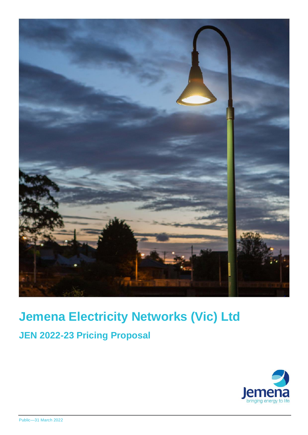

# **Jemena Electricity Networks (Vic) Ltd**

**JEN 2022-23 Pricing Proposal**

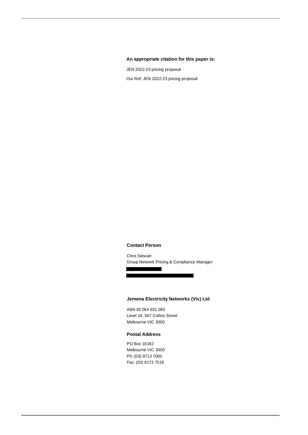#### **An appropriate citation for this paper is:**

JEN 2022-23 pricing proposal Our Ref: JEN 2022-23 pricing proposal

#### **Contact Person**

Chris Stewart Group Network Pricing & Compliance Manager

#### **Jemena Electricity Networks (Vic) Ltd**

ABN 82 064 651 083 Level 16, 567 Collins Street Melbourne VIC 3000

#### **Postal Address**

PO Box 16182 Melbourne VIC 3000 Ph: (03) 9713 7000 Fax: (03) 9173 7516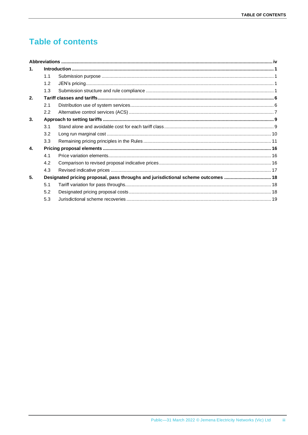# **Table of contents**

| 1. |     |                                                                                  |  |
|----|-----|----------------------------------------------------------------------------------|--|
|    | 1.1 |                                                                                  |  |
|    | 1.2 |                                                                                  |  |
|    | 1.3 |                                                                                  |  |
| 2. |     |                                                                                  |  |
|    | 2.1 |                                                                                  |  |
|    | 2.2 |                                                                                  |  |
| 3. |     |                                                                                  |  |
|    | 3.1 |                                                                                  |  |
|    | 3.2 |                                                                                  |  |
|    | 3.3 |                                                                                  |  |
| 4. |     |                                                                                  |  |
|    | 4.1 |                                                                                  |  |
|    | 4.2 |                                                                                  |  |
|    | 4.3 |                                                                                  |  |
| 5. |     | Designated pricing proposal, pass throughs and jurisdictional scheme outcomes 18 |  |
|    | 5.1 |                                                                                  |  |
|    | 5.2 |                                                                                  |  |
|    | 5.3 |                                                                                  |  |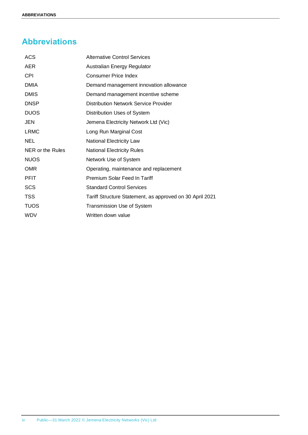# <span id="page-3-0"></span>**Abbreviations**

| <b>ACS</b>       | <b>Alternative Control Services</b>                      |
|------------------|----------------------------------------------------------|
| <b>AER</b>       | Australian Energy Regulator                              |
| <b>CPI</b>       | <b>Consumer Price Index</b>                              |
| <b>DMIA</b>      | Demand management innovation allowance                   |
| <b>DMIS</b>      | Demand management incentive scheme                       |
| <b>DNSP</b>      | <b>Distribution Network Service Provider</b>             |
| <b>DUOS</b>      | Distribution Uses of System                              |
| <b>JEN</b>       | Jemena Electricity Network Ltd (Vic)                     |
| <b>LRMC</b>      | Long Run Marginal Cost                                   |
| <b>NEL</b>       | <b>National Electricity Law</b>                          |
| NER or the Rules | <b>National Electricity Rules</b>                        |
| <b>NUOS</b>      | Network Use of System                                    |
| <b>OMR</b>       | Operating, maintenance and replacement                   |
| <b>PFIT</b>      | Premium Solar Feed In Tariff                             |
| <b>SCS</b>       | <b>Standard Control Services</b>                         |
| <b>TSS</b>       | Tariff Structure Statement, as approved on 30 April 2021 |
| <b>TUOS</b>      | <b>Transmission Use of System</b>                        |
| <b>WDV</b>       | Written down value                                       |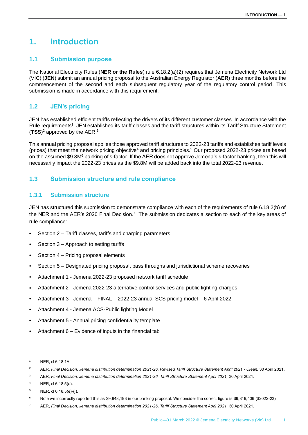# <span id="page-4-0"></span>**1. Introduction**

# <span id="page-4-1"></span>**1.1 Submission purpose**

The National Electricity Rules (**NER or the Rules**) rule 6.18.2(a)(2) requires that Jemena Electricity Network Ltd (VIC) (**JEN**) submit an annual pricing proposal to the Australian Energy Regulator (**AER**) three months before the commencement of the second and each subsequent regulatory year of the regulatory control period. This submission is made in accordance with this requirement.

# <span id="page-4-2"></span>**1.2 JEN's pricing**

JEN has established efficient tariffs reflecting the drivers of its different customer classes. In accordance with the Rule requirements<sup>1</sup>, JEN established its tariff classes and the tariff structures within its Tariff Structure Statement (**TSS**) <sup>2</sup> approved by the AER.<sup>3</sup>

This annual pricing proposal applies those approved tariff structures to 2022-23 tariffs and establishes tariff levels (prices) that meet the network pricing objective<sup>4</sup> and pricing principles.<sup>5</sup> Our proposed 2022-23 prices are based on the assumed \$9.8M<sup>6</sup> banking of s-factor. If the AER does not approve Jemena's s-factor banking, then this will necessarily impact the 2022-23 prices as the \$9.8M will be added back into the total 2022-23 revenue.

# <span id="page-4-3"></span>**1.3 Submission structure and rule compliance**

#### **1.3.1 Submission structure**

JEN has structured this submission to demonstrate compliance with each of the requirements of rule 6.18.2(b) of the NER and the AER's 2020 Final Decision.<sup>7</sup> The submission dedicates a section to each of the key areas of rule compliance:

- Section 2 Tariff classes, tariffs and charging parameters
- Section 3 Approach to setting tariffs
- Section 4 Pricing proposal elements
- Section 5 Designated pricing proposal, pass throughs and jurisdictional scheme recoveries
- Attachment 1 Jemena 2022-23 proposed network tariff schedule
- Attachment 2 Jemena 2022-23 alternative control services and public lighting charges
- Attachment 3 Jemena FINAL 2022-23 annual SCS pricing model 6 April 2022
- Attachment 4 Jemena ACS-Public lighting Model
- Attachment 5 Annual pricing confidentiality template
- Attachment  $6$  Evidence of inputs in the financial tab

<sup>1</sup> NER, cl 6.18.1A

<sup>2</sup> AER, *Final Decision*, *Jemena distribution determination 2021-26*, *Revised Tariff Structure Statement April 2021 - Clean,* 30 April 2021.

<sup>3</sup> AER, *Final Decision, Jemena distribution determination 2021-26, Tariff Structure Statement April 2021,* 30 April 2021*.*

<sup>4</sup> NER, cl 6.18.5(a).

 $5$  NER, cl 6.18.5(e)-(j).

<sup>6</sup> Note we incorrectly reported this as \$9,948,193 in our banking proposal. We consider the correct figure is \$9,819,406 (\$2022-23)

<sup>7</sup> AER, *Final Decision, Jemena distribution determination 2021-26*, *Tariff Structure Statement April 2021,* 30 April 2021.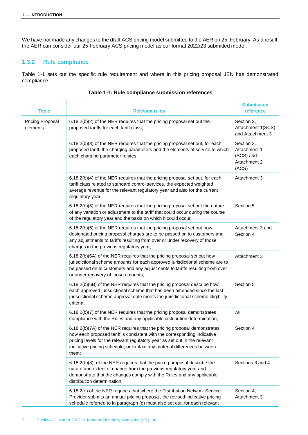We have not made any changes to the draft ACS pricing model submitted to the AER on 25 February. As a result, the AER can consider our 25 February ACS pricing model as our formal 2022/23 submitted model.

### **1.3.2 Rule compliance**

Table 1-1 sets out the specific rule requirement and where in this pricing proposal JEN has demonstrated compliance.

| <b>Topic</b>                        | <b>Relevant rules</b>                                                                                                                                                                                                                                                                                                   | <b>Submission</b><br>reference                                   |
|-------------------------------------|-------------------------------------------------------------------------------------------------------------------------------------------------------------------------------------------------------------------------------------------------------------------------------------------------------------------------|------------------------------------------------------------------|
| <b>Pricing Proposal</b><br>elements | 6.18.2(b)(2) of the NER requires that the pricing proposal set out the<br>proposed tariffs for each tariff class;                                                                                                                                                                                                       | Section 2,<br>Attachment 1(SCS)<br>and Attachment 3              |
|                                     | 6.18.2(b)(3) of the NER requires that the pricing proposal set out, for each<br>proposed tariff, the charging parameters and the elements of service to which<br>each charging parameter relates;                                                                                                                       | Section 2,<br>Attachment 1<br>(SCS) and<br>Attachment 2<br>(ACS) |
|                                     | 6.18.2(b)(4) of the NER requires that the pricing proposal set out, for each<br>tariff class related to standard control services, the expected weighted<br>average revenue for the relevant regulatory year and also for the current<br>regulatory year;                                                               | Attachment 3                                                     |
|                                     | 6.18.2(b)(5) of the NER requires that the pricing proposal set out the nature<br>of any variation or adjustment to the tariff that could occur during the course<br>of the regulatory year and the basis on which it could occur;                                                                                       | Section 5                                                        |
|                                     | 6.18.2(b)(6) of the NER requires that the pricing proposal set out how<br>designated pricing proposal charges are to be passed on to customers and<br>any adjustments to tariffs resulting from over or under recovery of those<br>charges in the previous regulatory year;                                             | Attachment 3 and<br>Section 4                                    |
|                                     | 6.18.2(b)(6A) of the NER requires that the pricing proposal set out how<br>jurisdictional scheme amounts for each approved jurisdictional scheme are to<br>be passed on to customers and any adjustments to tariffs resulting from over<br>or under recovery of those amounts;                                          | Attachment 3                                                     |
|                                     | 6.18.2(b)(6B) of the NER requires that the pricing proposal describe how<br>each approved jurisdictional scheme that has been amended since the last<br>jurisdictional scheme approval date meets the jurisdictional scheme eligibility<br>criteria:                                                                    | Section 5                                                        |
|                                     | 6.18.2(b)(7) of the NER requires that the pricing proposal demonstrates<br>compliance with the Rules and any applicable distribution determination;                                                                                                                                                                     | All                                                              |
|                                     | 6.18.2(b)(7A) of the NER requires that the pricing proposal demonstrates<br>how each proposed tariff is consistent with the corresponding indicative<br>pricing levels for the relevant regulatory year as set out in the relevant<br>indicative pricing schedule, or explain any material differences between<br>them; | Section 4                                                        |
|                                     | 6.18.2(b)(8) of the NER requires that the pricing proposal describe the<br>nature and extent of change from the previous regulatory year and<br>demonstrate that the changes comply with the Rules and any applicable<br>distribution determination.                                                                    | Sections 3 and 4                                                 |
|                                     | 6.18.2(e) of the NER requires that where the Distribution Network Service<br>Provider submits an annual pricing proposal, the revised indicative pricing<br>schedule referred to in paragraph (d) must also set out, for each relevant                                                                                  | Section 4,<br>Attachment 3                                       |

#### **Table 1-1: Rule compliance submission references**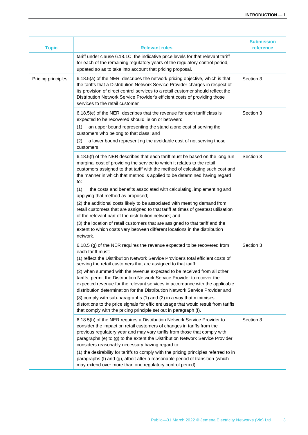| <b>Topic</b>       | <b>Relevant rules</b>                                                                                                                                                                                                                                                                                                                                                                                                                                                                                                                                | <b>Submission</b><br>reference |
|--------------------|------------------------------------------------------------------------------------------------------------------------------------------------------------------------------------------------------------------------------------------------------------------------------------------------------------------------------------------------------------------------------------------------------------------------------------------------------------------------------------------------------------------------------------------------------|--------------------------------|
|                    | tariff under clause 6.18.1C, the indicative price levels for that relevant tariff<br>for each of the remaining regulatory years of the regulatory control period,<br>updated so as to take into account that pricing proposal.                                                                                                                                                                                                                                                                                                                       |                                |
| Pricing principles | 6.18.5(a) of the NER describes the network pricing objective, which is that<br>the tariffs that a Distribution Network Service Provider charges in respect of<br>its provision of direct control services to a retail customer should reflect the<br>Distribution Network Service Provider's efficient costs of providing those<br>services to the retail customer                                                                                                                                                                                   | Section 3                      |
|                    | 6.18.5(e) of the NER describes that the revenue for each tariff class is<br>expected to be recovered should lie on or between:                                                                                                                                                                                                                                                                                                                                                                                                                       | Section 3                      |
|                    | an upper bound representing the stand alone cost of serving the<br>(1)<br>customers who belong to that class; and<br>a lower bound representing the avoidable cost of not serving those<br>(2)                                                                                                                                                                                                                                                                                                                                                       |                                |
|                    | customers.                                                                                                                                                                                                                                                                                                                                                                                                                                                                                                                                           |                                |
|                    | 6.18.5(f) of the NER describes that each tariff must be based on the long run<br>marginal cost of providing the service to which it relates to the retail<br>customers assigned to that tariff with the method of calculating such cost and<br>the manner in which that method is applied to be determined having regard<br>to:                                                                                                                                                                                                                      | Section 3                      |
|                    | (1)<br>the costs and benefits associated with calculating, implementing and<br>applying that method as proposed;                                                                                                                                                                                                                                                                                                                                                                                                                                     |                                |
|                    | (2) the additional costs likely to be associated with meeting demand from<br>retail customers that are assigned to that tariff at times of greatest utilisation<br>of the relevant part of the distribution network; and                                                                                                                                                                                                                                                                                                                             |                                |
|                    | (3) the location of retail customers that are assigned to that tariff and the<br>extent to which costs vary between different locations in the distribution<br>network.                                                                                                                                                                                                                                                                                                                                                                              |                                |
|                    | 6.18.5 (g) of the NER requires the revenue expected to be recovered from<br>each tariff must:<br>(1) reflect the Distribution Network Service Provider's total efficient costs of<br>serving the retail customers that are assigned to that tariff;                                                                                                                                                                                                                                                                                                  | Section 3                      |
|                    | (2) when summed with the revenue expected to be received from all other<br>tariffs, permit the Distribution Network Service Provider to recover the<br>expected revenue for the relevant services in accordance with the applicable<br>distribution determination for the Distribution Network Service Provider and<br>(3) comply with sub-paragraphs (1) and (2) in a way that minimises<br>distortions to the price signals for efficient usage that would result from tariffs<br>that comply with the pricing principle set out in paragraph (f). |                                |
|                    | 6.18.5(h) of the NER requires a Distribution Network Service Provider to<br>consider the impact on retail customers of changes in tariffs from the<br>previous regulatory year and may vary tariffs from those that comply with<br>paragraphs (e) to (g) to the extent the Distribution Network Service Provider<br>considers reasonably necessary having regard to:                                                                                                                                                                                 | Section 3                      |
|                    | (1) the desirability for tariffs to comply with the pricing principles referred to in<br>paragraphs (f) and (g), albeit after a reasonable period of transition (which<br>may extend over more than one regulatory control period);                                                                                                                                                                                                                                                                                                                  |                                |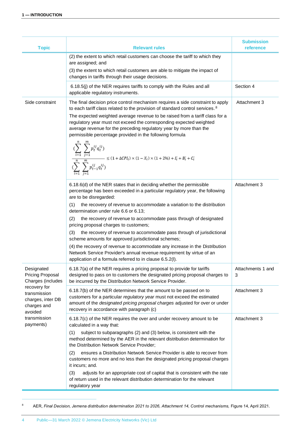| <b>Topic</b>                                                                | <b>Relevant rules</b>                                                                                                                                                                                                                                                                                                                                                                                                                                                                                                                                                                                                                                                                                                                                                                                                                                                                                                                                                          | <b>Submission</b><br>reference |
|-----------------------------------------------------------------------------|--------------------------------------------------------------------------------------------------------------------------------------------------------------------------------------------------------------------------------------------------------------------------------------------------------------------------------------------------------------------------------------------------------------------------------------------------------------------------------------------------------------------------------------------------------------------------------------------------------------------------------------------------------------------------------------------------------------------------------------------------------------------------------------------------------------------------------------------------------------------------------------------------------------------------------------------------------------------------------|--------------------------------|
|                                                                             | (2) the extent to which retail customers can choose the tariff to which they<br>are assigned; and<br>(3) the extent to which retail customers are able to mitigate the impact of<br>changes in tariffs through their usage decisions.                                                                                                                                                                                                                                                                                                                                                                                                                                                                                                                                                                                                                                                                                                                                          |                                |
|                                                                             | 6.18.5(j) of the NER requires tariffs to comply with the Rules and all<br>applicable regulatory instruments.                                                                                                                                                                                                                                                                                                                                                                                                                                                                                                                                                                                                                                                                                                                                                                                                                                                                   | Section 4                      |
| Side constraint                                                             | The final decision price control mechanism requires a side constraint to apply<br>to each tariff class related to the provision of standard control services. <sup>8</sup><br>The expected weighted average revenue to be raised from a tariff class for a<br>regulatory year must not exceed the corresponding expected weighted<br>average revenue for the preceding regulatory year by more than the<br>permissible percentage provided in the following formula<br>$\begin{split} & \langle \sum_{i=1}^r \sum_{j=1}^r p_t^{ij} q_t^{ij} \rangle \\ & \langle \sum_{l}^n \sum_{t=1}^m q_t^{ij} \rangle \\ & \leq (1 + \Delta C P I_t) \times (1 - X_t) \times (1 + 2\%) + I_t' + B_t' + C_t' \end{split}$<br>6.18.6(d) of the NER states that in deciding whether the permissible<br>percentage has been exceeded in a particular regulatory year, the following<br>are to be disregarded:<br>the recovery of revenue to accommodate a variation to the distribution<br>(1) | Attachment 3<br>Attachment 3   |
|                                                                             | determination under rule 6.6 or 6.13;<br>(2)<br>the recovery of revenue to accommodate pass through of designated<br>pricing proposal charges to customers;<br>(3)<br>the recovery of revenue to accommodate pass through of jurisdictional<br>scheme amounts for approved jurisdictional schemes;<br>(4) the recovery of revenue to accommodate any increase in the Distribution<br>Network Service Provider's annual revenue requirement by virtue of an<br>application of a formula referred to in clause 6.5.2(I).                                                                                                                                                                                                                                                                                                                                                                                                                                                         |                                |
| Designated<br><b>Pricing Proposal</b><br>Charges (includes                  | 6.18.7(a) of the NER requires a pricing proposal to provide for tariffs<br>designed to pass on to customers the designated pricing proposal charges to<br>be incurred by the Distribution Network Service Provider.                                                                                                                                                                                                                                                                                                                                                                                                                                                                                                                                                                                                                                                                                                                                                            | Attachments 1 and<br>3         |
| recovery for<br>transmission<br>charges, inter DB<br>charges and<br>avoided | 6.18.7(b) of the NER determines that the amount to be passed on to<br>customers for a particular regulatory year must not exceed the estimated<br>amount of the designated pricing proposal charges adjusted for over or under<br>recovery in accordance with paragraph (c)                                                                                                                                                                                                                                                                                                                                                                                                                                                                                                                                                                                                                                                                                                    | Attachment 3                   |
| transmission<br>payments)                                                   | 6.18.7(c) of the NER requires the over and under recovery amount to be<br>calculated in a way that:<br>subject to subparagraphs (2) and (3) below, is consistent with the<br>(1)<br>method determined by the AER in the relevant distribution determination for<br>the Distribution Network Service Provider;<br>(2)<br>ensures a Distribution Network Service Provider is able to recover from<br>customers no more and no less than the designated pricing proposal charges<br>it incurs; and.<br>(3)<br>adjusts for an appropriate cost of capital that is consistent with the rate                                                                                                                                                                                                                                                                                                                                                                                         | Attachment 3                   |
|                                                                             | of return used in the relevant distribution determination for the relevant<br>regulatory year                                                                                                                                                                                                                                                                                                                                                                                                                                                                                                                                                                                                                                                                                                                                                                                                                                                                                  |                                |

<sup>8</sup> AER, *Final Decision, Jemena distribution determination 2021 to 2026*, *Attachment 14, Control mechanisms,* Figure 14, April 2021.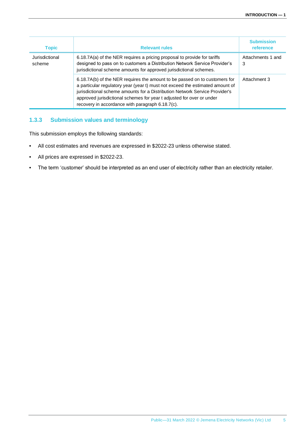| <b>Topic</b>             | <b>Relevant rules</b>                                                                                                                                                                                                                                                                                                                                                   | <b>Submission</b><br>reference |
|--------------------------|-------------------------------------------------------------------------------------------------------------------------------------------------------------------------------------------------------------------------------------------------------------------------------------------------------------------------------------------------------------------------|--------------------------------|
| Jurisdictional<br>scheme | 6.18.7A(a) of the NER requires a pricing proposal to provide for tariffs<br>designed to pass on to customers a Distribution Network Service Provider's<br>jurisdictional scheme amounts for approved jurisdictional schemes.                                                                                                                                            | Attachments 1 and<br>3         |
|                          | 6.18.7A(b) of the NER requires the amount to be passed on to customers for<br>a particular regulatory year (year t) must not exceed the estimated amount of<br>jurisdictional scheme amounts for a Distribution Network Service Provider's<br>approved jurisdictional schemes for year t adjusted for over or under<br>recovery in accordance with paragraph 6.18.7(c). | Attachment 3                   |

# **1.3.3 Submission values and terminology**

This submission employs the following standards:

- All cost estimates and revenues are expressed in \$2022-23 unless otherwise stated.
- All prices are expressed in \$2022-23.
- The term 'customer' should be interpreted as an end user of electricity rather than an electricity retailer.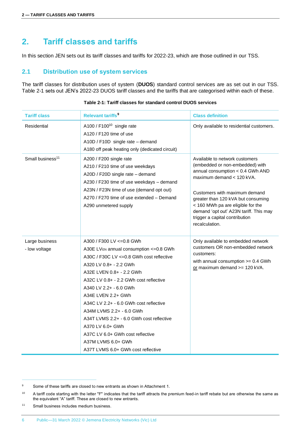# <span id="page-9-0"></span>**2. Tariff classes and tariffs**

In this section JEN sets out its tariff classes and tariffs for 2022-23, which are those outlined in our TSS.

## <span id="page-9-1"></span>**2.1 Distribution use of system services**

The tariff classes for distribution uses of system (**DUOS**) standard control services are as set out in our TSS. [Table 2-1](#page-9-2) sets out JEN's 2022-23 DUOS tariff classes and the tariffs that are categorised within each of these.

<span id="page-9-2"></span>

| <b>Tariff class</b>             | Relevant tariffs <sup>9</sup>                                                                                                                                                                                                                                                                                                                                                                                                                                                                                       | <b>Class definition</b>                                                                                                                                                                                                                                                                                                                      |
|---------------------------------|---------------------------------------------------------------------------------------------------------------------------------------------------------------------------------------------------------------------------------------------------------------------------------------------------------------------------------------------------------------------------------------------------------------------------------------------------------------------------------------------------------------------|----------------------------------------------------------------------------------------------------------------------------------------------------------------------------------------------------------------------------------------------------------------------------------------------------------------------------------------------|
| Residential                     | A100 / F100 <sup>10</sup> single rate<br>A120 / F120 time of use<br>A10D / F10D single rate - demand<br>A180 off peak heating only (dedicated circuit)                                                                                                                                                                                                                                                                                                                                                              | Only available to residential customers.                                                                                                                                                                                                                                                                                                     |
| Small business <sup>11</sup>    | A200 / F200 single rate<br>A210 / F210 time of use weekdays<br>A20D / F20D single rate - demand<br>A230 / F230 time of use weekdays - demand<br>A23N / F23N time of use (demand opt out)<br>A270 / F270 time of use extended - Demand<br>A290 unmetered supply                                                                                                                                                                                                                                                      | Available to network customers<br>(embedded or non-embedded) with<br>annual consumption < 0.4 GWh AND<br>maximum demand < 120 kVA.<br>Customers with maximum demand<br>greater than 120 kVA but consuming<br>< 160 MWh pa are eligible for the<br>demand 'opt out' A23N tariff. This may<br>trigger a capital contribution<br>recalculation. |
| Large business<br>- low voltage | A300 / F300 LV <= 0.8 GWh<br>A30E LV <sub>EN</sub> annual consumption <= 0.8 GWh<br>A30C / F30C LV <= 0.8 GWh cost reflective<br>A320 LV 0.8+ - 2.2 GWh<br>A32E LVEN 0.8+ - 2.2 GWh<br>A32C LV 0.8+ - 2.2 GWh cost reflective<br>A340 LV 2.2+ - 6.0 GWh<br>A34E LVEN 2.2+ GWh<br>A34C LV 2.2+ - 6.0 GWh cost reflective<br>A34M LVMS 2.2+ - 6.0 GWh<br>A34T LVMS 2.2+ - 6.0 GWh cost reflective<br>A370 LV 6.0+ GWh<br>A37C LV 6.0+ GWh cost reflective<br>A37M LVMS 6.0+ GWh<br>A37T LVMS 6.0+ GWh cost reflective | Only available to embedded network<br>customers OR non-embedded network<br>customers:<br>with annual consumption >= 0.4 GWh<br>or maximum demand >= 120 kVA.                                                                                                                                                                                 |

#### **Table 2-1: Tariff classes for standard control DUOS services**

<sup>9</sup> Some of these tariffs are closed to new entrants as shown in Attachment 1.

<sup>&</sup>lt;sup>10</sup> A tariff code starting with the letter "F" indicates that the tariff attracts the premium feed-in tariff rebate but are otherwise the same as the equivalent "A" tariff. These are closed to new entrants.

<sup>11</sup> Small business includes medium business.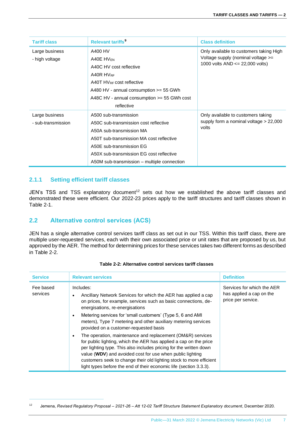| <b>Tariff class</b>                  | Relevant tariffs <sup>9</sup>                                                                                                                                                                                                                                 | <b>Class definition</b>                                                                                             |
|--------------------------------------|---------------------------------------------------------------------------------------------------------------------------------------------------------------------------------------------------------------------------------------------------------------|---------------------------------------------------------------------------------------------------------------------|
| Large business<br>- high voltage     | A400 HV<br>A40E HV <sub>EN</sub><br>A40C HV cost reflective<br>A40R HVRF<br>A40T HVRF cost reflective<br>A480 HV - annual consumption $>=$ 55 GWh<br>A48C HV - annual consumption $>=$ 55 GWh cost<br>reflective                                              | Only available to customers taking High<br>Voltage supply (nominal voltage >=<br>1000 volts $AND \le 22,000$ volts) |
| Large business<br>- sub-transmission | A500 sub-transmission<br>A50C sub-transmission cost reflective<br>A50A sub-transmission MA<br>A50T sub-transmission MA cost reflective<br>A50E sub-transmission EG<br>A50X sub-transmission EG cost reflective<br>A50M sub-transmission – multiple connection | Only available to customers taking<br>supply form a nominal voltage $> 22,000$<br>volts                             |

# **2.1.1 Setting efficient tariff classes**

JEN's TSS and TSS explanatory document<sup>12</sup> sets out how we established the above tariff classes and demonstrated these were efficient. Our 2022-23 prices apply to the tariff structures and tariff classes shown in Table 2-1.

# <span id="page-10-0"></span>**2.2 Alternative control services (ACS)**

JEN has a single alternative control services tariff class as set out in our TSS. Within this tariff class, there are multiple user-requested services, each with their own associated price or unit rates that are proposed by us, but approved by the AER. The method for determining prices for these services takes two different forms as described in [Table 2-2.](#page-10-1)

<span id="page-10-1"></span>

| <b>Service</b>        | <b>Relevant services</b>                                                                                                                                                                                                                                                                                                                                                                                        | <b>Definition</b>                                                            |
|-----------------------|-----------------------------------------------------------------------------------------------------------------------------------------------------------------------------------------------------------------------------------------------------------------------------------------------------------------------------------------------------------------------------------------------------------------|------------------------------------------------------------------------------|
| Fee based<br>services | Includes:<br>Ancillary Network Services for which the AER has applied a cap<br>on prices, for example, services such as basic connections, de-<br>energisations, re-energisations<br>Metering services for 'small customers' (Type 5, 6 and AMI)<br>meters), Type 7 metering and other auxiliary metering services<br>provided on a customer-requested basis                                                    | Services for which the AER<br>has applied a cap on the<br>price per service. |
|                       | The operation, maintenance and replacement (OM&R) services<br>for public lighting, which the AER has applied a cap on the price<br>per lighting type. This also includes pricing for the written down<br>value (WDV) and avoided cost for use when public lighting<br>customers seek to change their old lighting stock to more efficient<br>light types before the end of their economic life (section 3.3.3). |                                                                              |

#### **Table 2-2: Alternative control services tariff classes**

<sup>12</sup> Jemena, *Revised Regulatory Proposal – 2021-26 – Att 12-02 Tariff Structure Statement Explanatory document*, December 2020.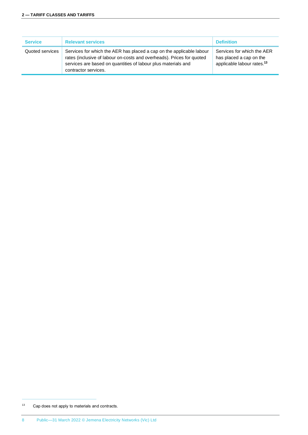| <b>Service</b>  | <b>Relevant services</b>                                                                                                                                                                                                               | <b>Definition</b>                                                                               |
|-----------------|----------------------------------------------------------------------------------------------------------------------------------------------------------------------------------------------------------------------------------------|-------------------------------------------------------------------------------------------------|
| Quoted services | Services for which the AER has placed a cap on the applicable labour<br>rates (inclusive of labour on-costs and overheads). Prices for quoted<br>services are based on quantities of labour plus materials and<br>contractor services. | Services for which the AER<br>has placed a cap on the<br>applicable labour rates. <sup>13</sup> |

<sup>13</sup> Cap does not apply to materials and contracts.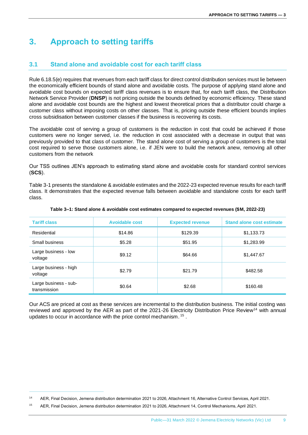# <span id="page-12-0"></span>**3. Approach to setting tariffs**

# <span id="page-12-1"></span>**3.1 Stand alone and avoidable cost for each tariff class**

Rule 6.18.5(e) requires that revenues from each tariff class for direct control distribution services must lie between the economically efficient bounds of stand alone and avoidable costs. The purpose of applying stand alone and avoidable cost bounds on expected tariff class revenues is to ensure that, for each tariff class, the Distribution Network Service Provider (**DNSP**) is not pricing outside the bounds defined by economic efficiency. These stand alone and avoidable cost bounds are the highest and lowest theoretical prices that a distributor could charge a customer class without imposing costs on other classes. That is, pricing outside these efficient bounds implies cross subsidisation between customer classes if the business is recovering its costs.

The avoidable cost of serving a group of customers is the reduction in cost that could be achieved if those customers were no longer served, i.e. the reduction in cost associated with a decrease in output that was previously provided to that class of customer. The stand alone cost of serving a group of customers is the total cost required to serve those customers alone, i.e. if JEN were to build the network anew, removing all other customers from the network

Our TSS outlines JEN's approach to estimating stand alone and avoidable costs for standard control services (**SCS**).

Table 3-1 presents the standalone & avoidable estimates and the 2022-23 expected revenue results for each tariff class. It demonstrates that the expected revenue falls between avoidable and standalone costs for each tariff class.

| <b>Tariff class</b>                   | <b>Avoidable cost</b> | <b>Expected revenue</b> | <b>Stand alone cost estimate</b> |
|---------------------------------------|-----------------------|-------------------------|----------------------------------|
| Residential                           | \$14.86               | \$129.39                | \$1,133.73                       |
| Small business                        | \$5.28                | \$51.95                 | \$1,283.99                       |
| Large business - low<br>voltage       | \$9.12                | \$64.66                 | \$1,447.67                       |
| Large business - high<br>voltage      | \$2.79                | \$21.79                 | \$482.58                         |
| Large business - sub-<br>transmission | \$0.64                | \$2.68                  | \$160.48                         |

#### **Table 3–1: Stand alone & avoidable cost estimates compared to expected revenues (\$M, 2022-23)**

Our ACS are priced at cost as these services are incremental to the distribution business. The initial costing was reviewed and approved by the AER as part of the 2021-26 Electricity Distribution Price Review<sup>14</sup> with annual updates to occur in accordance with the price control mechanism.<sup>15</sup>.

<sup>14</sup> AER, Final Decision, Jemena distribution determination 2021 to 2026, Attachment 16, Alternative Control Services, April 2021.

<sup>15</sup> AER, Final Decision, Jemena distribution determination 2021 to 2026, Attachment 14, Control Mechanisms, April 2021.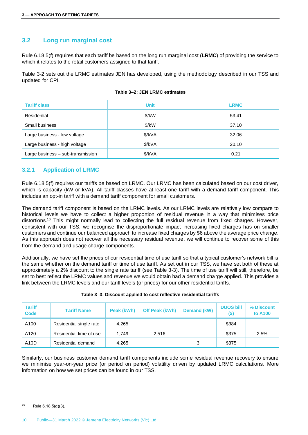# <span id="page-13-0"></span>**3.2 Long run marginal cost**

Rule 6.18.5(f) requires that each tariff be based on the long run marginal cost (**LRMC**) of providing the service to which it relates to the retail customers assigned to that tariff.

Table 3-2 sets out the LRMC estimates JEN has developed, using the methodology described in our TSS and updated for CPI.

| <b>Tariff class</b>               | <b>Unit</b> | <b>LRMC</b> |
|-----------------------------------|-------------|-------------|
| Residential                       | \$/kW       | 53.41       |
| Small business                    | \$/kW       | 37.10       |
| Large business - low voltage      | \$/kVA      | 32.06       |
| Large business - high voltage     | \$/kVA      | 20.10       |
| Large business - sub-transmission | \$/kVA      | 0.21        |

#### **Table 3–2: JEN LRMC estimates**

#### **3.2.1 Application of LRMC**

Rule 6.18.5(f) requires our tariffs be based on LRMC. Our LRMC has been calculated based on our cost driver, which is capacity (kW or kVA). All tariff classes have at least one tariff with a demand tariff component. This includes an opt-in tariff with a demand tariff component for small customers.

The demand tariff component is based on the LRMC levels. As our LRMC levels are relatively low compare to historical levels we have to collect a higher proportion of residual revenue in a way that minimises price distortions. <sup>16</sup> This might normally lead to collecting the full residual revenue from fixed charges. However, consistent with our TSS, we recognise the disproportionate impact increasing fixed charges has on smaller customers and continue our balanced approach to increase fixed charges by \$6 above the average price change. As this approach does not recover all the necessary residual revenue, we will continue to recover some of this from the demand and usage charge components.

Additionally, we have set the prices of our residential time of use tariff so that a typical customer's network bill is the same whether on the demand tariff or time of use tariff. As set out in our TSS, we have set both of these at approximately a 2% discount to the single rate tariff (see Table 3-3). The time of use tariff will still, therefore, be set to best reflect the LRMC values and revenue we would obtain had a demand charge applied. This provides a link between the LRMC levels and our tariff levels (or prices) for our other residential tariffs.

| <b>Tariff</b><br><b>Code</b> | <b>Tariff Name</b>      | Peak (kWh) | Off Peak (kWh) | <b>Demand (kW)</b> | <b>DUOS bill</b><br>$($ \$) | % Discount<br>to A100 |
|------------------------------|-------------------------|------------|----------------|--------------------|-----------------------------|-----------------------|
| A100                         | Residential single rate | 4,265      |                |                    | \$384                       |                       |
| A120                         | Residential time of use | 1.749      | 2,516          |                    | \$375                       | 2.5%                  |
| A <sub>10</sub> D            | Residential demand      | 4,265      |                | 3                  | \$375                       |                       |

#### **Table 3–3: Discount applied to cost reflective residential tariffs**

Similarly, our business customer demand tariff components include some residual revenue recovery to ensure we minimise year-on-year price (or period on period) volatility driven by updated LRMC calculations. More information on how we set prices can be found in our TSS.

 $16$  Rule 6.18.5(g)(3).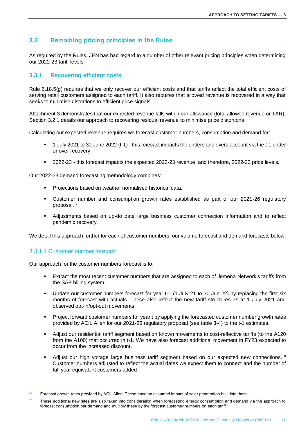# <span id="page-14-0"></span>**3.3 Remaining pricing principles in the Rules**

As required by the Rules, JEN has had regard to a number of other relevant pricing principles when determining our 2022-23 tariff levels.

## **3.3.1 Recovering efficient costs**

Rule 6.18.5(g) requires that we only recover our efficient costs and that tariffs reflect the total efficient costs of serving retail customers assigned to each tariff. It also requires that allowed revenue is recovered in a way that seeks to minimise distortions to efficient price signals.

Attachment 3 demonstrates that our expected revenue falls within our allowance (total allowed revenue or TAR). Section 3.2.1 details our approach to recovering residual revenue to minimise price distortions.

Calculating our expected revenue requires we forecast customer numbers, consumption and demand for:

- 1 July 2021 to 30 June 2022 (t-1) this forecast impacts the unders and overs account via the t-1 under or over recovery.
- 2022-23 this forecast impacts the expected 2022-23 revenue, and therefore, 2022-23 price levels.

Our 2022-23 demand forecasting methodology combines:

- Projections based on weather normalised historical data.
- Customer number and consumption growth rates established as part of our 2021-26 regulatory proposal. 17
- Adjustments based on up-do date large business customer connection information and to reflect pandemic recovery.

We detail this approach further for each of customer numbers, our volume forecast and demand forecasts below.

#### 3.3.1.1 Customer number forecast

Our approach for the customer numbers forecast is to:

- Extract the most recent customer numbers that are assigned to each of Jemena Network's tariffs from the SAP billing system.
- Update our customer numbers forecast for year t-1 (1 July 21 to 30 Jun 22) by replacing the first six months of forecast with actuals. These also reflect the new tariff structures as at 1 July 2021 and observed opt-in/opt-out movements.
- Project forward customer numbers for year t by applying the forecasted customer number growth rates provided by ACIL Allen for our 2021-26 regulatory proposal (see table 3-4) to the t-1 estimates.
- Adjust our residential tariff segment based on known movements to cost-reflective tariffs (to the A120 from the A100) that occurred in t-1. We have also forecast additional movement in FY23 expected to occur from the increased discount.
- Adjust our high voltage large business tariff segment based on our expected new connections.<sup>18</sup> Customer numbers adjusted to reflect the actual dates we expect them to connect and the number of full year equivalent customers added.

<sup>17</sup> Forecast growth rates provided by ACIL Allen. These have an assumed impact of solar penetration built into them.

<sup>&</sup>lt;sup>18</sup> These additional new sites are also taken into consideration when forecasting energy consumption and demand via the approach to forecast consumption per demand and multiply these by the forecast customer numbers on each tariff.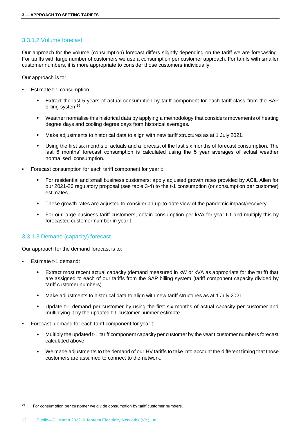#### 3.3.1.2 Volume forecast

Our approach for the volume (consumption) forecast differs slightly depending on the tariff we are forecasting. For tariffs with large number of customers we use a consumption per customer approach. For tariffs with smaller customer numbers, it is more appropriate to consider those customers individually.

Our approach is to:

- Estimate t-1 consumption:
	- Extract the last 5 years of actual consumption by tariff component for each tariff class from the SAP billing system<sup>19</sup>.
	- Weather normalise this historical data by applying a methodology that considers movements of heating degree days and cooling degree days from historical averages.
	- Make adjustments to historical data to align with new tariff structures as at 1 July 2021.
	- Using the first six months of actuals and a forecast of the last six months of forecast consumption. The last 6 months' forecast consumption is calculated using the 5 year averages of actual weather normalised consumption.
- Forecast consumption for each tariff component for year t:
	- For residential and small business customers: apply adjusted growth rates provided by ACIL Allen for our 2021-26 regulatory proposal (see table 3-4) to the t-1 consumption (or consumption per customer) estimates.
	- These growth rates are adjusted to consider an up-to-date view of the pandemic impact/recovery.
	- For our large business tariff customers, obtain consumption per kVA for year t-1 and multiply this by forecasted customer number in year t.

#### 3.3.1.3 Demand (capacity) forecast

Our approach for the demand forecast is to:

- Estimate t-1 demand:
	- Extract most recent actual capacity (demand measured in kW or kVA as appropriate for the tariff) that are assigned to each of our tariffs from the SAP billing system (tariff component capacity divided by tariff customer numbers).
	- Make adjustments to historical data to align with new tariff structures as at 1 July 2021.
	- Update t-1 demand per customer by using the first six months of actual capacity per customer and multiplying it by the updated t-1 customer number estimate.
- Forecast demand for each tariff component for year t:
	- Multiply the updated t-1 tariff component capacity per customer by the year t customer numbers forecast calculated above.
	- We made adjustments to the demand of our HV tariffs to take into account the different timing that those customers are assumed to connect to the network.

 $19$  For consumption per customer we divide consumption by tariff customer numbers.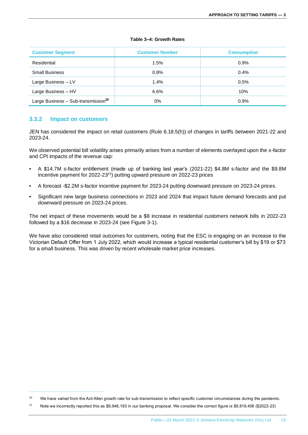| <b>Customer Segment</b>                         | <b>Customer Number</b> | <b>Consumption</b> |
|-------------------------------------------------|------------------------|--------------------|
| Residential                                     | 1.5%                   | 0.9%               |
| <b>Small Business</b>                           | 0.8%                   | 0.4%               |
| Large Business - LV                             | 1.4%                   | 0.5%               |
| Large Business - HV                             | 6.6%                   | 10%                |
| Large Business - Sub-transmission <sup>20</sup> | 0%                     | 0.9%               |

#### **3.3.2 Impact on customers**

JEN has considered the impact on retail customers (Rule 6.18.5(h)) of changes in tariffs between 2021-22 and 2023-24.

We observed potential bill volatility arises primarily arises from a number of elements overlayed upon the x-factor and CPI impacts of the revenue cap:

- A \$14.7M s-factor entitlement (made up of banking last year's (2021-22) \$4.8M s-factor and the \$9.8M incentive payment for  $2022-23^{21}$ ) putting upward pressure on  $2022-23$  prices
- A forecast -\$2.2M s-factor incentive payment for 2023-24 putting downward pressure on 2023-24 prices.
- Significant new large business connections in 2023 and 2024 that impact future demand forecasts and put downward pressure on 2023-24 prices.

The net impact of these movements would be a \$8 increase in residential customers network bills in 2022-23 followed by a \$16 decrease in 2023-24 (see Figure 3-1).

We have also considered retail outcomes for customers, noting that the ESC is engaging on an increase to the Victorian Default Offer from 1 July 2022, which would increase a typical residential customer's bill by \$19 or \$73 for a small business. This was driven by recent wholesale market price increases.

<sup>&</sup>lt;sup>20</sup> We have varied from the Acil Allen growth rate for sub-transmission to reflect specific customer circumstances during the pandemic.

<sup>&</sup>lt;sup>21</sup> Note we incorrectly reported this as \$9,948,193 in our banking proposal. We consider the correct figure is \$9,819,406 (\$2022-23)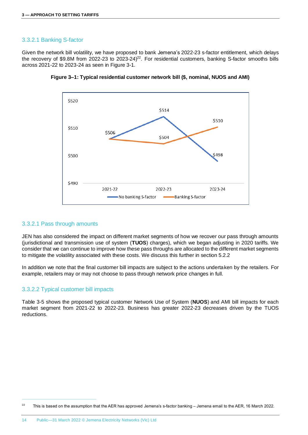#### 3.3.2.1 Banking S-factor

Given the network bill volatility, we have proposed to bank Jemena's 2022-23 s-factor entitlement, which delays the recovery of \$9.8M from 2022-23 to 2023-24)<sup>22</sup>. For residential customers, banking S-factor smooths bills across 2021-22 to 2023-24 as seen in Figure 3-1.





## 3.3.2.1 Pass through amounts

JEN has also considered the impact on different market segments of how we recover our pass through amounts (jurisdictional and transmission use of system (**TUOS**) charges), which we began adjusting in 2020 tariffs. We consider that we can continue to improve how these pass throughs are allocated to the different market segments to mitigate the volatility associated with these costs. We discuss this further in section 5.2.2

In addition we note that the final customer bill impacts are subject to the actions undertaken by the retailers. For example, retailers may or may not choose to pass through network price changes in full.

#### 3.3.2.2 Typical customer bill impacts

Table 3-5 shows the proposed typical customer Network Use of System (**NUOS**) and AMI bill impacts for each market segment from 2021-22 to 2022-23*.* Business has greater 2022-23 decreases driven by the TUOS reductions.

 $22$  This is based on the assumption that the AER has approved Jemena's s-factor banking – Jemena email to the AER, 16 March 2022.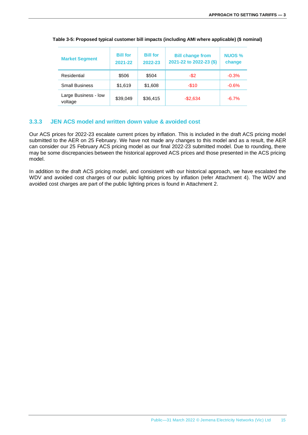| <b>Market Segment</b>           | <b>Bill for</b><br>2021-22 | <b>Bill for</b><br>2022-23 | <b>Bill change from</b><br>2021-22 to 2022-23 (\$) | <b>NUOS %</b><br>change |
|---------------------------------|----------------------------|----------------------------|----------------------------------------------------|-------------------------|
| Residential                     | \$506                      | \$504                      | -\$2                                               | $-0.3%$                 |
| <b>Small Business</b>           | \$1,619                    | \$1,608                    | $-$10$                                             | $-0.6%$                 |
| Large Business - low<br>voltage | \$39,049                   | \$36,415                   | $-$2,634$                                          | $-6.7%$                 |

#### **Table 3-5: Proposed typical customer bill impacts (including AMI where applicable) (\$ nominal)**

#### **3.3.3 JEN ACS model and written down value & avoided cost**

Our ACS prices for 2022-23 escalate current prices by inflation. This is included in the draft ACS pricing model submitted to the AER on 25 February. We have not made any changes to this model and as a result, the AER can consider our 25 February ACS pricing model as our final 2022-23 submitted model. Due to rounding, there may be some discrepancies between the historical approved ACS prices and those presented in the ACS pricing model.

In addition to the draft ACS pricing model, and consistent with our historical approach, we have escalated the WDV and avoided cost charges of our public lighting prices by inflation (refer Attachment 4). The WDV and avoided cost charges are part of the public lighting prices is found in Attachment 2.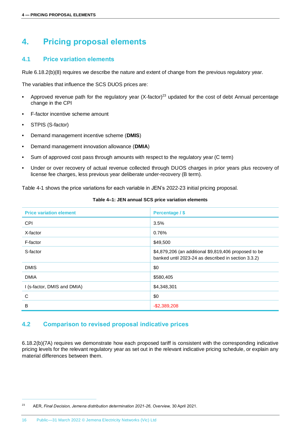# <span id="page-19-0"></span>**4. Pricing proposal elements**

# <span id="page-19-1"></span>**4.1 Price variation elements**

Rule 6.18.2(b)(8) requires we describe the nature and extent of change from the previous regulatory year.

The variables that influence the SCS DUOS prices are:

- Approved revenue path for the regulatory year (X-factor)<sup>23</sup> updated for the cost of debt Annual percentage change in the CPI
- F-factor incentive scheme amount
- STPIS (S-factor)
- Demand management incentive scheme (**DMIS**)
- Demand management innovation allowance (**DMIA**)
- Sum of approved cost pass through amounts with respect to the regulatory year (C term)
- Under or over recovery of actual revenue collected through DUOS charges in prior years plus recovery of license fee charges, less previous year deliberate under-recovery (B term).

Table 4-1 shows the price variations for each variable in JEN's 2022-23 initial pricing proposal.

| <b>Price variation element</b> | Percentage / \$                                                                                              |
|--------------------------------|--------------------------------------------------------------------------------------------------------------|
| <b>CPI</b>                     | 3.5%                                                                                                         |
| X-factor                       | 0.76%                                                                                                        |
| F-factor                       | \$49,500                                                                                                     |
| S-factor                       | \$4,879,206 (an additional \$9,819,406 proposed to be<br>banked until 2023-24 as described in section 3.3.2) |
| <b>DMIS</b>                    | \$0                                                                                                          |
| <b>DMIA</b>                    | \$580,405                                                                                                    |
| I (s-factor, DMIS and DMIA)    | \$4,348,301                                                                                                  |
| C                              | \$0                                                                                                          |
| B                              | $-$ \$2,389,208                                                                                              |

#### **Table 4–1: JEN annual SCS price variation elements**

#### <span id="page-19-2"></span>**4.2 Comparison to revised proposal indicative prices**

6.18.2(b)(7A) requires we demonstrate how each proposed tariff is consistent with the corresponding indicative pricing levels for the relevant regulatory year as set out in the relevant indicative pricing schedule, or explain any material differences between them.

<sup>23</sup> AER, *Final Decision, Jemena distribution determination 2021-26*, *Overview,* 30 April 2021.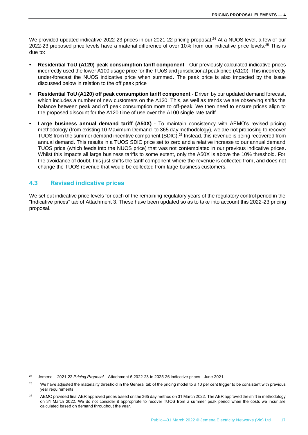We provided updated indicative 2022-23 prices in our 2021-22 pricing proposal. <sup>24</sup> At a NUOS level, a few of our 2022-23 proposed price levels have a material difference of over 10% from our indicative price levels.<sup>25</sup> This is due to:

- **Residential ToU (A120) peak consumption tariff component** Our previously calculated indicative prices incorrectly used the lower A100 usage price for the TUoS and jurisdictional peak price (A120). This incorrectly under-forecast the NUOS indicative price when summed. The peak price is also impacted by the issue discussed below in relation to the off peak price
- **Residential ToU (A120) off peak consumption tariff component**  Driven by our updated demand forecast, which includes a number of new customers on the A120. This, as well as trends we are observing shifts the balance between peak and off peak consumption more to off-peak. We then need to ensure prices align to the proposed discount for the A120 time of use over the A100 single rate tariff.
- **Large business annual demand tariff (A50X)** To maintain consistency with AEMO's revised pricing methodology (from existing 10 Maximum Demand to 365 day methodology), we are not proposing to recover TUOS from the summer demand incentive component (SDIC).<sup>26</sup> Instead, this revenue is being recovered from annual demand. This results in a TUOS SDIC price set to zero and a relative increase to our annual demand TUOS price (which feeds into the NUOS price) that was not contemplated in our previous indicative prices. Whilst this impacts all large business tariffs to some extent, only the A50X is above the 10% threshold. For the avoidance of doubt, this just shifts the tariff component where the revenue is collected from, and does not change the TUOS revenue that would be collected from large business customers.

# <span id="page-20-0"></span>**4.3 Revised indicative prices**

We set out indicative price levels for each of the remaining regulatory years of the regulatory control period in the "Indicative prices" tab of Attachment 3. These have been updated so as to take into account this 2022-23 pricing proposal.

<sup>24</sup> Jemena – 2021-22 *Pricing Proposal* – Attachment 5 2022-23 to 2025-26 indicative prices - June 2021.

<sup>&</sup>lt;sup>25</sup> We have adjusted the materiality threshold in the General tab of the pricing model to a 10 per cent trigger to be consistent with previous year requirements.

<sup>&</sup>lt;sup>26</sup> AEMO provided final AER approved prices based on the 365 day method on 31 March 2022. The AER approved the shift in methodology on 31 March 2022. We do not consider it appropriate to recover TUOS from a summer peak period when the costs we incur are calculated based on demand throughout the year.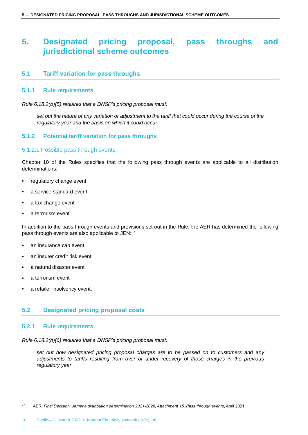# <span id="page-21-0"></span>**5. Designated pricing proposal, pass throughs and jurisdictional scheme outcomes**

# <span id="page-21-1"></span>**5.1 Tariff variation for pass throughs**

#### **5.1.1 Rule requirements**

*Rule 6.18.2(b)(5) requires that a DNSP's pricing proposal must:*

*set out the nature of any variation or adjustment to the tariff that could occur during the course of the regulatory year and the basis on which it could occur* 

#### **5.1.2 Potential tariff variation for pass throughs**

#### 5.1.2.1 Possible pass through events

Chapter 10 of the Rules specifies that the following pass through events are applicable to all distribution determinations:

- regulatory change event
- a service standard event
- a tax change event
- a terrorism event.

In addition to the pass through events and provisions set out in the Rule, the AER has determined the following pass through events are also applicable to JEN:<sup>27</sup>

- an insurance cap event
- an insurer credit risk event
- a natural disaster event
- a terrorism event
- a retailer insolvency event.

## <span id="page-21-2"></span>**5.2 Designated pricing proposal costs**

#### **5.2.1 Rule requirements**

*Rule 6.18.2(b)(6) requires that a DNSP's pricing proposal must:*

*set out how designated pricing proposal charges are to be passed on to customers and any adjustments to tariffs resulting from over or under recovery of those charges in the previous regulatory year*

<sup>27</sup> AER, *Final Decision, Jemena distribution determination 2021-2026, Attachment 15, Pass through events*, April 2021.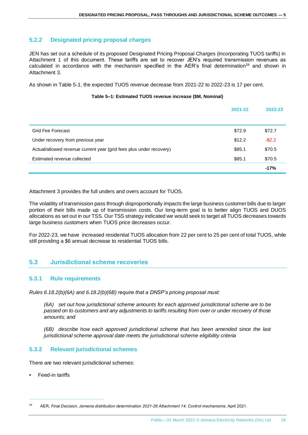# **5.2.2 Designated pricing proposal charges**

JEN has set out a schedule of its proposed Designated Pricing Proposal Charges (incorporating TUOS tariffs) in Attachment 1 of this document. These tariffs are set to recover JEN's required transmission revenues as calculated in accordance with the mechanism specified in the AER's final determination<sup>28</sup> and shown in Attachment 3.

As shown in Table 5-1, the expected TUOS revenue decrease from 2021-22 to 2022-23 is 17 per cent.

#### **Table 5–1: Estimated TUOS revenue increase (\$M, Nominal)**

|                                                                     | 2021-22 | 2022-23   |
|---------------------------------------------------------------------|---------|-----------|
|                                                                     |         |           |
| Grid Fee Forecast                                                   | \$72.9  | \$72.7    |
| Under recovery from previous year                                   | \$12.2  | $-$ \$2.2 |
| Actual/allowed revenue current year (grid fees plus under recovery) | \$85.1  | \$70.5    |
| Estimated revenue collected                                         | \$85.1  | \$70.5    |
|                                                                     |         | $-17%$    |

Attachment 3 provides the full unders and overs account for TUOS.

The volatility of transmission pass through disproportionally impacts the large business customer bills due to larger portion of their bills made up of transmission costs. Our long-term goal is to better align TUOS and DUOS allocations as set out in our TSS. Our TSS strategy indicated we would seek to target all TUOS decreases towards large business customers when TUOS price decreases occur.

For 2022-23, we have increased residential TUOS allocation from 22 per cent to 25 per cent of total TUOS, while still providing a \$6 annual decrease to residential TUOS bills.

# <span id="page-22-0"></span>**5.3 Jurisdictional scheme recoveries**

## **5.3.1 Rule requirements**

*Rules 6.18.2(b)(6A) and 6.18.2(b)(6B) require that a DNSP's pricing proposal must:*

*(6A) set out how jurisdictional scheme amounts for each approved jurisdictional scheme are to be passed on to customers and any adjustments to tariffs resulting from over or under recovery of those amounts; and*

*(6B) describe how each approved jurisdictional scheme that has been amended since the last jurisdictional scheme approval date meets the jurisdictional scheme eligibility criteria*

## **5.3.2 Relevant jurisdictional schemes**

There are two relevant jurisdictional schemes:

Feed-in tariffs

<sup>28</sup> AER, *Final Decision, Jemena distribution determination 2021-26 Attachment 14, Control mechanisms,* April 2021.